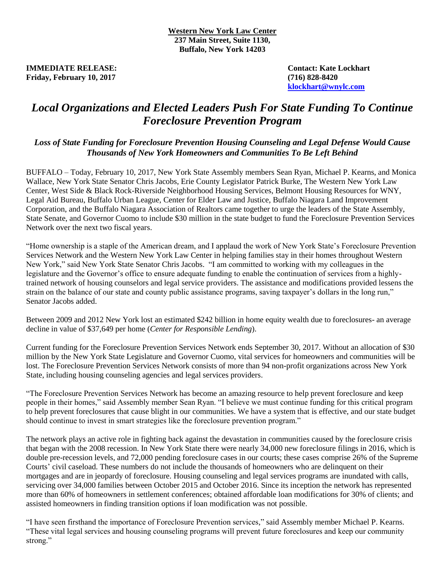**IMMEDIATE RELEASE:** Contact: Kate Lockhart **Friday, February 10, 2017 (716) 828-8420**

**[klockhart@wnylc.com](mailto:klockhart@wnylc.com)**

## *Local Organizations and Elected Leaders Push For State Funding To Continue Foreclosure Prevention Program*

## *Loss of State Funding for Foreclosure Prevention Housing Counseling and Legal Defense Would Cause Thousands of New York Homeowners and Communities To Be Left Behind*

BUFFALO – Today, February 10, 2017, New York State Assembly members Sean Ryan, Michael P. Kearns, and Monica Wallace, New York State Senator Chris Jacobs, Erie County Legislator Patrick Burke, The Western New York Law Center, West Side & Black Rock-Riverside Neighborhood Housing Services, Belmont Housing Resources for WNY, Legal Aid Bureau, Buffalo Urban League, Center for Elder Law and Justice, Buffalo Niagara Land Improvement Corporation, and the Buffalo Niagara Association of Realtors came together to urge the leaders of the State Assembly, State Senate, and Governor Cuomo to include \$30 million in the state budget to fund the Foreclosure Prevention Services Network over the next two fiscal years.

"Home ownership is a staple of the American dream, and I applaud the work of New York State's Foreclosure Prevention Services Network and the Western New York Law Center in helping families stay in their homes throughout Western New York," said New York State Senator Chris Jacobs. "I am committed to working with my colleagues in the legislature and the Governor's office to ensure adequate funding to enable the continuation of services from a highlytrained network of housing counselors and legal service providers. The assistance and modifications provided lessens the strain on the balance of our state and county public assistance programs, saving taxpayer's dollars in the long run," Senator Jacobs added.

Between 2009 and 2012 New York lost an estimated \$242 billion in home equity wealth due to foreclosures- an average decline in value of \$37,649 per home (*Center for Responsible Lending*).

Current funding for the Foreclosure Prevention Services Network ends September 30, 2017. Without an allocation of \$30 million by the New York State Legislature and Governor Cuomo, vital services for homeowners and communities will be lost. The Foreclosure Prevention Services Network consists of more than 94 non-profit organizations across New York State, including housing counseling agencies and legal services providers.

"The Foreclosure Prevention Services Network has become an amazing resource to help prevent foreclosure and keep people in their homes," said Assembly member Sean Ryan. "I believe we must continue funding for this critical program to help prevent foreclosures that cause blight in our communities. We have a system that is effective, and our state budget should continue to invest in smart strategies like the foreclosure prevention program."

The network plays an active role in fighting back against the devastation in communities caused by the foreclosure crisis that began with the 2008 recession. In New York State there were nearly 34,000 new foreclosure filings in 2016, which is double pre-recession levels, and 72,000 pending foreclosure cases in our courts; these cases comprise 26% of the Supreme Courts' civil caseload. These numbers do not include the thousands of homeowners who are delinquent on their mortgages and are in jeopardy of foreclosure. Housing counseling and legal services programs are inundated with calls, servicing over 34,000 families between October 2015 and October 2016. Since its inception the network has represented more than 60% of homeowners in settlement conferences; obtained affordable loan modifications for 30% of clients; and assisted homeowners in finding transition options if loan modification was not possible.

"I have seen firsthand the importance of Foreclosure Prevention services," said Assembly member Michael P. Kearns. "These vital legal services and housing counseling programs will prevent future foreclosures and keep our community strong."